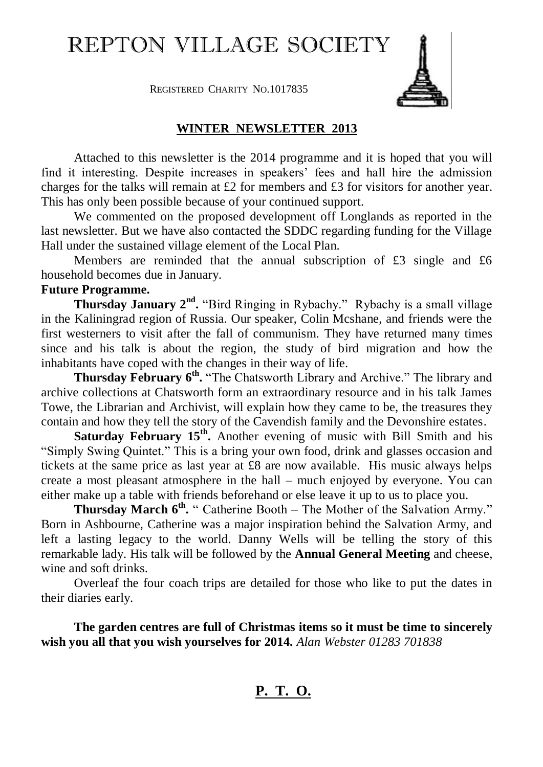# REPTON VILLAGE SOCIETY



REGISTERED CHARITY NO.1017835

#### **WINTER NEWSLETTER 2013**

Attached to this newsletter is the 2014 programme and it is hoped that you will find it interesting. Despite increases in speakers' fees and hall hire the admission charges for the talks will remain at £2 for members and £3 for visitors for another year. This has only been possible because of your continued support.

We commented on the proposed development off Longlands as reported in the last newsletter. But we have also contacted the SDDC regarding funding for the Village Hall under the sustained village element of the Local Plan.

Members are reminded that the annual subscription of £3 single and £6 household becomes due in January.

#### **Future Programme.**

**Thursday January 2<sup>nd</sup>.** "Bird Ringing in Rybachy." Rybachy is a small village in the Kaliningrad region of Russia. Our speaker, Colin Mcshane, and friends were the first westerners to visit after the fall of communism. They have returned many times since and his talk is about the region, the study of bird migration and how the inhabitants have coped with the changes in their way of life.

Thursday February 6<sup>th</sup>. "The Chatsworth Library and Archive." The library and archive collections at Chatsworth form an extraordinary resource and in his talk James Towe, the Librarian and Archivist, will explain how they came to be, the treasures they contain and how they tell the story of the Cavendish family and the Devonshire estates.

**Saturday February 15<sup>th</sup>**. Another evening of music with Bill Smith and his "Simply Swing Quintet." This is a bring your own food, drink and glasses occasion and tickets at the same price as last year at £8 are now available. His music always helps create a most pleasant atmosphere in the hall – much enjoyed by everyone. You can either make up a table with friends beforehand or else leave it up to us to place you.

**Thursday March 6<sup>th</sup>.** " Catherine Booth – The Mother of the Salvation Army." Born in Ashbourne, Catherine was a major inspiration behind the Salvation Army, and left a lasting legacy to the world. Danny Wells will be telling the story of this remarkable lady. His talk will be followed by the **Annual General Meeting** and cheese, wine and soft drinks.

Overleaf the four coach trips are detailed for those who like to put the dates in their diaries early.

**The garden centres are full of Christmas items so it must be time to sincerely wish you all that you wish yourselves for 2014.** *Alan Webster 01283 701838*

## **P. T. O.**